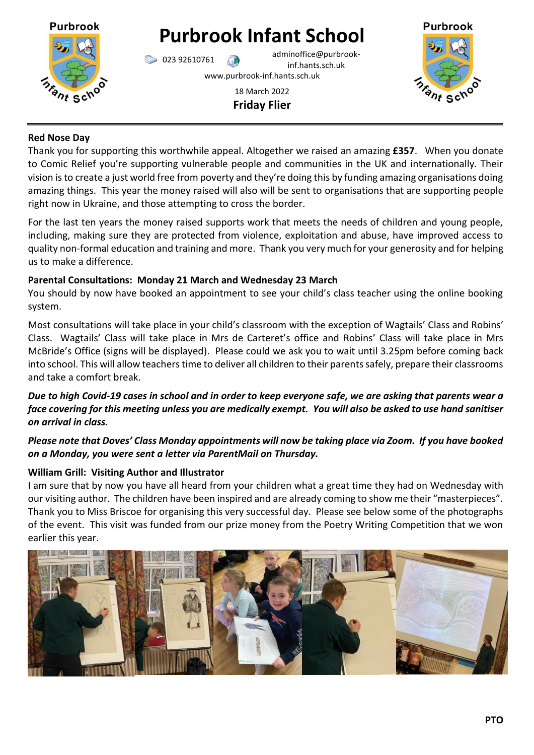

# **Purbrook Infant School**

023 92610761 adminoffice@purbrookinf.hants.sch.uk www.purbrook-inf.hants.sch.uk

18 March 2022 **Friday Flier**



## **Red Nose Day**

Thank you for supporting this worthwhile appeal. Altogether we raised an amazing **£357**. When you donate to Comic Relief you're supporting vulnerable people and communities in the UK and internationally. Their vision is to create a just world free from poverty and they're doing this by funding amazing organisations doing amazing things. This year the money raised will also will be sent to organisations that are supporting people right now in Ukraine, and those attempting to cross the border.

For the last ten years the money raised supports work that meets the needs of children and young people, including, making sure they are protected from violence, exploitation and abuse, have improved access to quality non-formal education and training and more. Thank you very much for your generosity and for helping us to make a difference.

## **Parental Consultations: Monday 21 March and Wednesday 23 March**

You should by now have booked an appointment to see your child's class teacher using the online booking system.

Most consultations will take place in your child's classroom with the exception of Wagtails' Class and Robins' Class. Wagtails' Class will take place in Mrs de Carteret's office and Robins' Class will take place in Mrs McBride's Office (signs will be displayed). Please could we ask you to wait until 3.25pm before coming back into school. This will allow teachers time to deliver all children to their parents safely, prepare their classrooms and take a comfort break.

## *Due to high Covid-19 cases in school and in order to keep everyone safe, we are asking that parents wear a face covering for this meeting unless you are medically exempt. You will also be asked to use hand sanitiser on arrival in class.*

# *Please note that Doves' Class Monday appointments will now be taking place via Zoom. If you have booked on a Monday, you were sent a letter via ParentMail on Thursday.*

# **William Grill: Visiting Author and Illustrator**

I am sure that by now you have all heard from your children what a great time they had on Wednesday with our visiting author. The children have been inspired and are already coming to show me their "masterpieces". Thank you to Miss Briscoe for organising this very successful day. Please see below some of the photographs of the event. This visit was funded from our prize money from the Poetry Writing Competition that we won earlier this year.